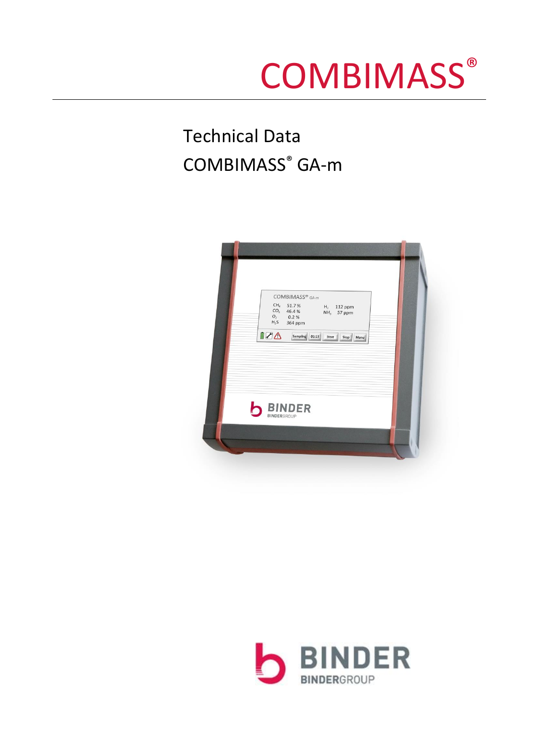# **COMBIMASS®**

# Technical Data COMBIMASS® GA-m



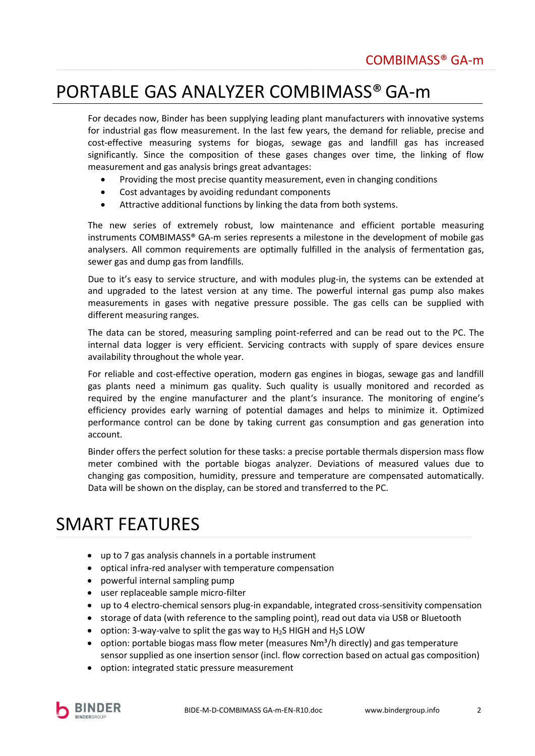## PORTABLE GAS ANALYZER COMBIMASS®GA-m

For decades now, Binder has been supplying leading plant manufacturers with innovative systems for industrial gas flow measurement. In the last few years, the demand for reliable, precise and cost-effective measuring systems for biogas, sewage gas and landfill gas has increased significantly. Since the composition of these gases changes over time, the linking of flow measurement and gas analysis brings great advantages:

- Providing the most precise quantity measurement, even in changing conditions
- Cost advantages by avoiding redundant components
- Attractive additional functions by linking the data from both systems.

The new series of extremely robust, low maintenance and efficient portable measuring instruments COMBIMASS® GA-m series represents a milestone in the development of mobile gas analysers. All common requirements are optimally fulfilled in the analysis of fermentation gas, sewer gas and dump gas from landfills.

Due to it's easy to service structure, and with modules plug-in, the systems can be extended at and upgraded to the latest version at any time. The powerful internal gas pump also makes measurements in gases with negative pressure possible. The gas cells can be supplied with different measuring ranges.

The data can be stored, measuring sampling point-referred and can be read out to the PC. The internal data logger is very efficient. Servicing contracts with supply of spare devices ensure availability throughout the whole year.

For reliable and cost-effective operation, modern gas engines in biogas, sewage gas and landfill gas plants need a minimum gas quality. Such quality is usually monitored and recorded as required by the engine manufacturer and the plant's insurance. The monitoring of engine's efficiency provides early warning of potential damages and helps to minimize it. Optimized performance control can be done by taking current gas consumption and gas generation into account.

Binder offers the perfect solution for these tasks: a precise portable thermals dispersion mass flow meter combined with the portable biogas analyzer. Deviations of measured values due to changing gas composition, humidity, pressure and temperature are compensated automatically. Data will be shown on the display, can be stored and transferred to the PC.

# SMART FEATURES

- up to 7 gas analysis channels in a portable instrument
- optical infra-red analyser with temperature compensation
- powerful internal sampling pump
- user replaceable sample micro-filter
- up to 4 electro-chemical sensors plug-in expandable, integrated cross-sensitivity compensation
- storage of data (with reference to the sampling point), read out data via USB or Bluetooth
- option: 3-way-valve to split the gas way to  $H_2S$  HIGH and  $H_2S$  LOW
- option: portable biogas mass flow meter (measures  $Nm^3/h$  directly) and gas temperature sensor supplied as one insertion sensor (incl. flow correction based on actual gas composition)
- option: integrated static pressure measurement

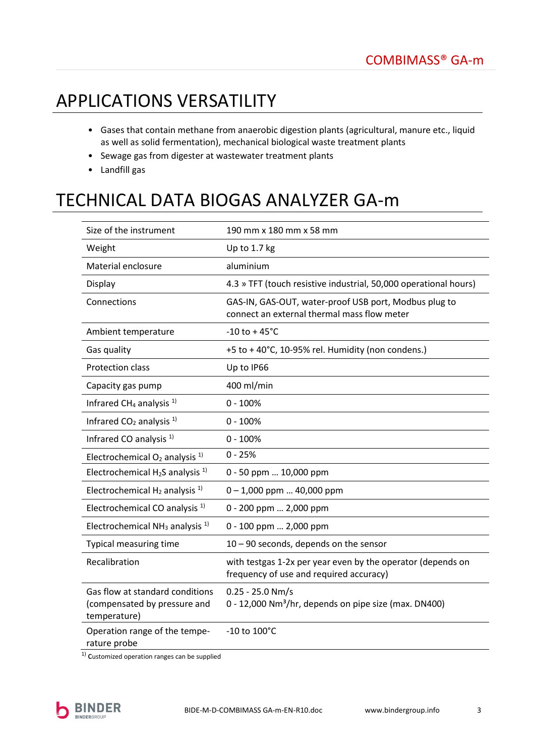# APPLICATIONS VERSATILITY

- Gases that contain methane from anaerobic digestion plants (agricultural, manure etc., liquid as well as solid fermentation), mechanical biological waste treatment plants
- Sewage gas from digester at wastewater treatment plants
- Landfill gas

# TECHNICAL DATA BIOGAS ANALYZER GA-m

| Size of the instrument                                                          | 190 mm x 180 mm x 58 mm                                                                                |  |
|---------------------------------------------------------------------------------|--------------------------------------------------------------------------------------------------------|--|
| Weight                                                                          | Up to 1.7 kg                                                                                           |  |
| Material enclosure                                                              | aluminium                                                                                              |  |
| Display                                                                         | 4.3 » TFT (touch resistive industrial, 50,000 operational hours)                                       |  |
| Connections                                                                     | GAS-IN, GAS-OUT, water-proof USB port, Modbus plug to<br>connect an external thermal mass flow meter   |  |
| Ambient temperature                                                             | $-10$ to + 45 $^{\circ}$ C                                                                             |  |
| Gas quality                                                                     | +5 to +40°C, 10-95% rel. Humidity (non condens.)                                                       |  |
| Protection class                                                                | Up to IP66                                                                                             |  |
| Capacity gas pump                                                               | 400 ml/min                                                                                             |  |
| Infrared CH <sub>4</sub> analysis <sup>1)</sup>                                 | $0 - 100%$                                                                                             |  |
| Infrared $CO2$ analysis <sup>1)</sup>                                           | $0 - 100%$                                                                                             |  |
| Infrared CO analysis <sup>1)</sup>                                              | $0 - 100%$                                                                                             |  |
| Electrochemical $O_2$ analysis <sup>1)</sup>                                    | $0 - 25%$                                                                                              |  |
| Electrochemical $H_2S$ analysis <sup>1)</sup>                                   | 0 - 50 ppm  10,000 ppm                                                                                 |  |
| Electrochemical $H_2$ analysis <sup>1)</sup>                                    | $0 - 1,000$ ppm  40,000 ppm                                                                            |  |
| Electrochemical CO analysis <sup>1)</sup>                                       | 0 - 200 ppm  2,000 ppm                                                                                 |  |
| Electrochemical NH <sub>3</sub> analysis <sup>1)</sup>                          | 0 - 100 ppm  2,000 ppm                                                                                 |  |
| <b>Typical measuring time</b>                                                   | $10 - 90$ seconds, depends on the sensor                                                               |  |
| Recalibration                                                                   | with testgas 1-2x per year even by the operator (depends on<br>frequency of use and required accuracy) |  |
| Gas flow at standard conditions<br>(compensated by pressure and<br>temperature) | $0.25 - 25.0$ Nm/s<br>0 - 12,000 Nm <sup>3</sup> /hr, depends on pipe size (max. DN400)                |  |
| Operation range of the tempe-<br>rature probe                                   | -10 to 100°C                                                                                           |  |

 $1)$  Customized operation ranges can be supplied

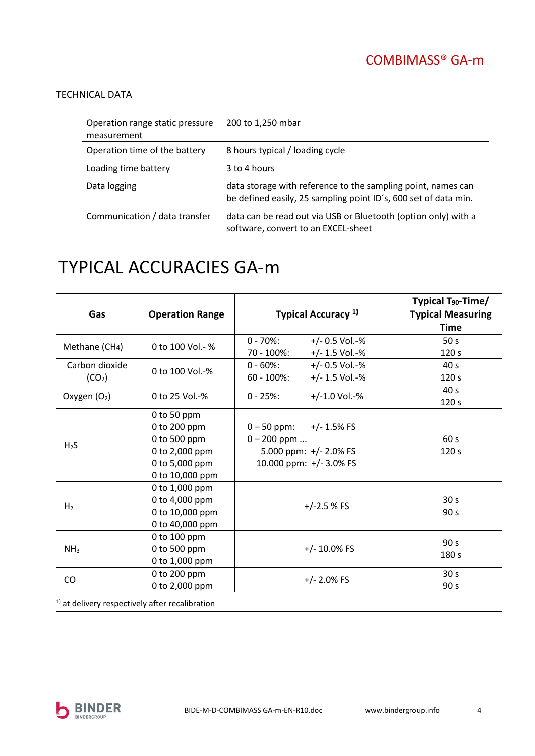### TECHNICAL DATA

| Operation range static pressure<br>measurement | 200 to 1,250 mbar                                                                                                               |
|------------------------------------------------|---------------------------------------------------------------------------------------------------------------------------------|
| Operation time of the battery                  | 8 hours typical / loading cycle                                                                                                 |
| Loading time battery                           | 3 to 4 hours                                                                                                                    |
| Data logging                                   | data storage with reference to the sampling point, names can<br>be defined easily, 25 sampling point ID's, 600 set of data min. |
| Communication / data transfer                  | data can be read out via USB or Bluetooth (option only) with a<br>software, convert to an EXCEL-sheet                           |

## TYPICAL ACCURACIES GA-m

| Gas                                                  | <b>Operation Range</b>                                                                             | Typical Accuracy <sup>1)</sup>                                                                        | Typical T <sub>90</sub> -Time/<br><b>Typical Measuring</b><br><b>Time</b> |
|------------------------------------------------------|----------------------------------------------------------------------------------------------------|-------------------------------------------------------------------------------------------------------|---------------------------------------------------------------------------|
| Methane (CH4)                                        | 0 to 100 Vol. - %                                                                                  | $0 - 70$ %:<br>$+/- 0.5$ Vol.-%<br>70 - 100%:<br>$+/- 1.5$ Vol.-%                                     | 50 <sub>s</sub><br>120 <sub>s</sub>                                       |
| Carbon dioxide<br>(CO <sub>2</sub> )                 | 0 to 100 Vol.-%                                                                                    | $0 - 60\%$<br>$+/- 0.5$ Vol.-%<br>$60 - 100\%$ :<br>$+/- 1.5$ Vol.-%                                  | 40 <sub>s</sub><br>120 <sub>s</sub>                                       |
| Oxygen $(O_2)$                                       | 0 to 25 Vol.-%                                                                                     | $+/-1.0$ Vol.-%<br>$0 - 25%$                                                                          | 40 <sub>s</sub><br>120 s                                                  |
| H <sub>2</sub> S                                     | 0 to 50 ppm<br>0 to 200 ppm<br>0 to 500 ppm<br>0 to 2,000 ppm<br>0 to 5,000 ppm<br>0 to 10,000 ppm | $0 - 50$ ppm:<br>+/- 1.5% FS<br>$0 - 200$ ppm<br>5.000 ppm: $+/- 2.0\%$ FS<br>10.000 ppm: +/- 3.0% FS | 60 s<br>120 <sub>s</sub>                                                  |
| H <sub>2</sub>                                       | 0 to 1,000 ppm<br>0 to 4,000 ppm<br>0 to 10,000 ppm<br>0 to 40,000 ppm                             | $+/-2.5%$ FS                                                                                          | 30 <sub>s</sub><br>90 <sub>s</sub>                                        |
| NH <sub>3</sub>                                      | 0 to 100 ppm<br>0 to 500 ppm<br>0 to 1,000 ppm                                                     | $+/- 10.0\%$ FS                                                                                       | 90 <sub>s</sub><br>180 s                                                  |
| CO                                                   | 0 to 200 ppm<br>0 to 2,000 ppm                                                                     | $+/- 2.0\%$ FS                                                                                        | 30 <sub>s</sub><br>90 s                                                   |
| $\mu$ ) at delivery respectively after recalibration |                                                                                                    |                                                                                                       |                                                                           |